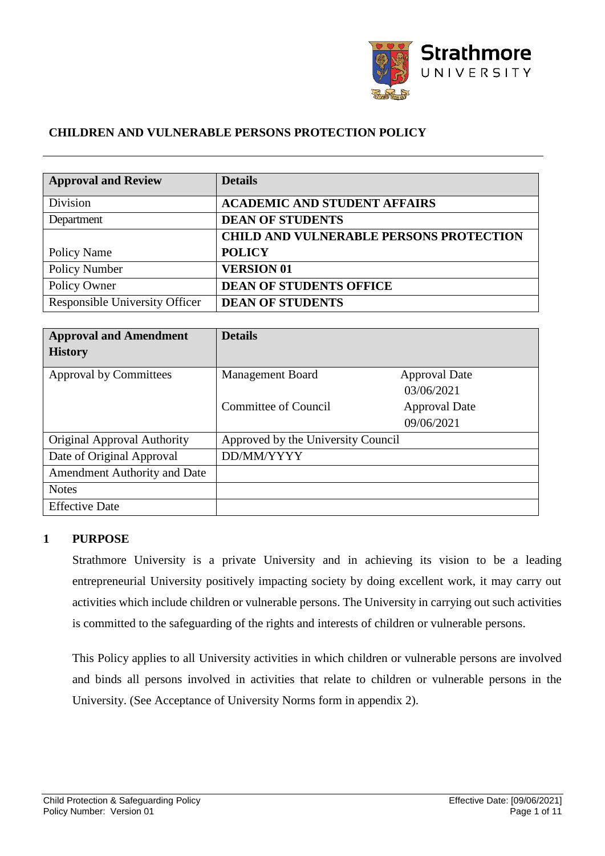

#### **CHILDREN AND VULNERABLE PERSONS PROTECTION POLICY**

| <b>Approval and Review</b>     | <b>Details</b>                                 |
|--------------------------------|------------------------------------------------|
| Division                       | <b>ACADEMIC AND STUDENT AFFAIRS</b>            |
| Department                     | <b>DEAN OF STUDENTS</b>                        |
|                                | <b>CHILD AND VULNERABLE PERSONS PROTECTION</b> |
| Policy Name                    | <b>POLICY</b>                                  |
| Policy Number                  | <b>VERSION 01</b>                              |
| Policy Owner                   | <b>DEAN OF STUDENTS OFFICE</b>                 |
| Responsible University Officer | <b>DEAN OF STUDENTS</b>                        |

| <b>Approval and Amendment</b><br><b>History</b> | <b>Details</b>                     |                                    |
|-------------------------------------------------|------------------------------------|------------------------------------|
| <b>Approval by Committees</b>                   | <b>Management Board</b>            | <b>Approval Date</b><br>03/06/2021 |
|                                                 | <b>Committee of Council</b>        | <b>Approval Date</b><br>09/06/2021 |
| Original Approval Authority                     | Approved by the University Council |                                    |
| Date of Original Approval                       | DD/MM/YYYY                         |                                    |
| <b>Amendment Authority and Date</b>             |                                    |                                    |
| <b>Notes</b>                                    |                                    |                                    |
| <b>Effective Date</b>                           |                                    |                                    |

#### **1 PURPOSE**

Strathmore University is a private University and in achieving its vision to be a leading entrepreneurial University positively impacting society by doing excellent work, it may carry out activities which include children or vulnerable persons. The University in carrying out such activities is committed to the safeguarding of the rights and interests of children or vulnerable persons.

This Policy applies to all University activities in which children or vulnerable persons are involved and binds all persons involved in activities that relate to children or vulnerable persons in the University. (See Acceptance of University Norms form in appendix 2).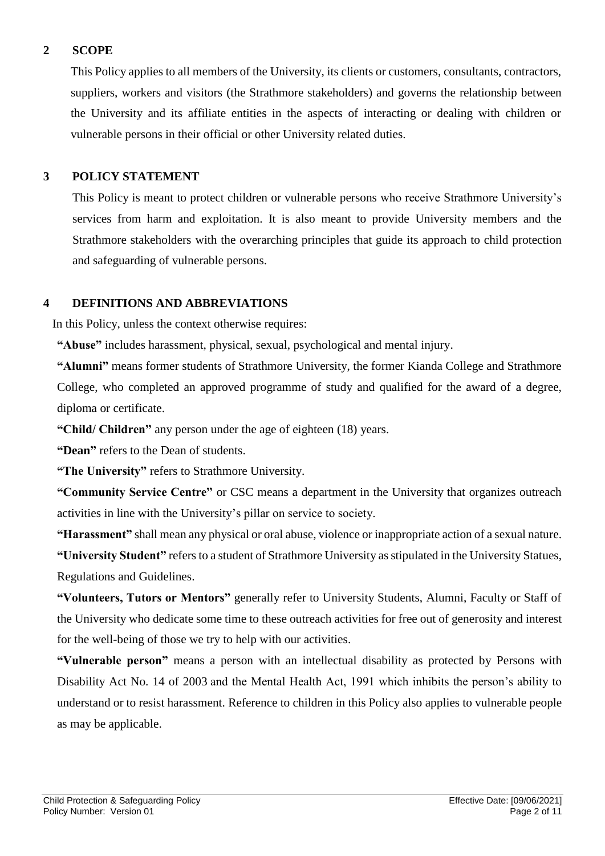## **2 SCOPE**

This Policy applies to all members of the University, its clients or customers, consultants, contractors, suppliers, workers and visitors (the Strathmore stakeholders) and governs the relationship between the University and its affiliate entities in the aspects of interacting or dealing with children or vulnerable persons in their official or other University related duties.

## **3 POLICY STATEMENT**

This Policy is meant to protect children or vulnerable persons who receive Strathmore University's services from harm and exploitation. It is also meant to provide University members and the Strathmore stakeholders with the overarching principles that guide its approach to child protection and safeguarding of vulnerable persons.

## **4 DEFINITIONS AND ABBREVIATIONS**

In this Policy, unless the context otherwise requires:

**"Abuse"** includes harassment, physical, sexual, psychological and mental injury.

**"Alumni"** means former students of Strathmore University, the former Kianda College and Strathmore College, who completed an approved programme of study and qualified for the award of a degree, diploma or certificate.

**"Child/ Children"** any person under the age of eighteen (18) years.

**"Dean"** refers to the Dean of students.

**"The University"** refers to Strathmore University.

**"Community Service Centre"** or CSC means a department in the University that organizes outreach activities in line with the University's pillar on service to society.

**"Harassment"** shall mean any physical or oral abuse, violence or inappropriate action of a sexual nature.

**"University Student"** refers to a student of Strathmore University as stipulated in the University Statues, Regulations and Guidelines.

**"Volunteers, Tutors or Mentors"** generally refer to University Students, Alumni, Faculty or Staff of the University who dedicate some time to these outreach activities for free out of generosity and interest for the well-being of those we try to help with our activities.

**"Vulnerable person"** means a person with an intellectual disability as protected by Persons with Disability Act No. 14 of 2003 and the Mental Health Act, 1991 which inhibits the person's ability to understand or to resist harassment. Reference to children in this Policy also applies to vulnerable people as may be applicable.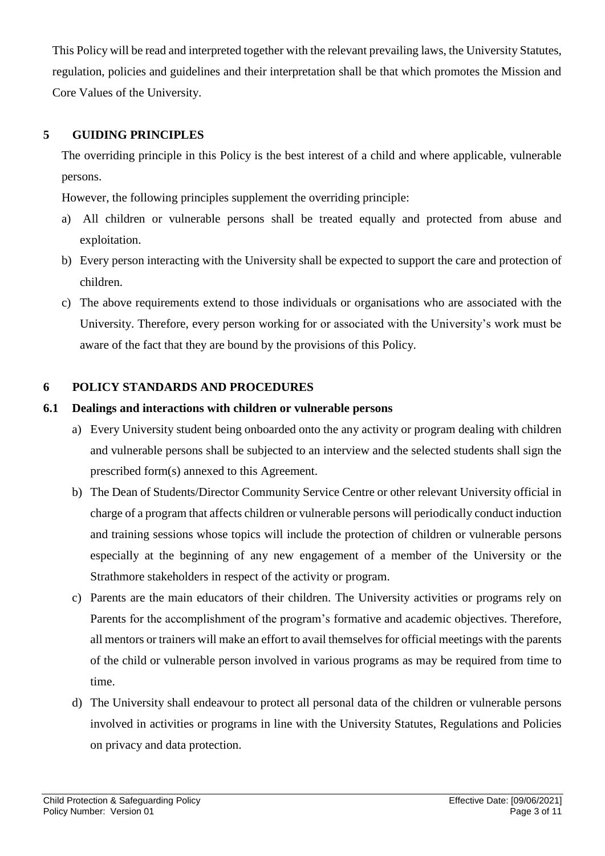This Policy will be read and interpreted together with the relevant prevailing laws, the University Statutes, regulation, policies and guidelines and their interpretation shall be that which promotes the Mission and Core Values of the University.

# **5 GUIDING PRINCIPLES**

The overriding principle in this Policy is the best interest of a child and where applicable, vulnerable persons.

However, the following principles supplement the overriding principle:

- a) All children or vulnerable persons shall be treated equally and protected from abuse and exploitation.
- b) Every person interacting with the University shall be expected to support the care and protection of children.
- c) The above requirements extend to those individuals or organisations who are associated with the University. Therefore, every person working for or associated with the University's work must be aware of the fact that they are bound by the provisions of this Policy.

# **6 POLICY STANDARDS AND PROCEDURES**

# **6.1 Dealings and interactions with children or vulnerable persons**

- a) Every University student being onboarded onto the any activity or program dealing with children and vulnerable persons shall be subjected to an interview and the selected students shall sign the prescribed form(s) annexed to this Agreement.
- b) The Dean of Students/Director Community Service Centre or other relevant University official in charge of a program that affects children or vulnerable persons will periodically conduct induction and training sessions whose topics will include the protection of children or vulnerable persons especially at the beginning of any new engagement of a member of the University or the Strathmore stakeholders in respect of the activity or program.
- c) Parents are the main educators of their children. The University activities or programs rely on Parents for the accomplishment of the program's formative and academic objectives. Therefore, all mentors or trainers will make an effort to avail themselves for official meetings with the parents of the child or vulnerable person involved in various programs as may be required from time to time.
- d) The University shall endeavour to protect all personal data of the children or vulnerable persons involved in activities or programs in line with the University Statutes, Regulations and Policies on privacy and data protection.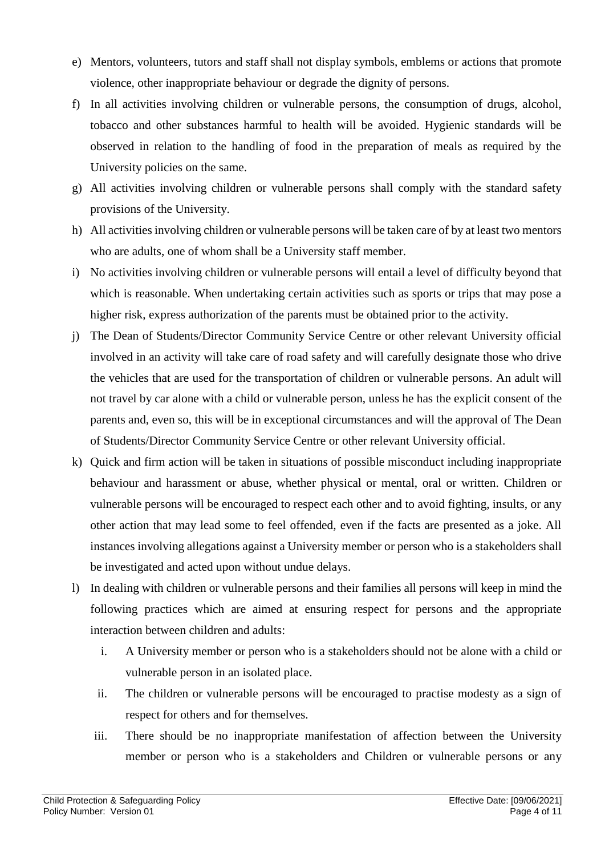- e) Mentors, volunteers, tutors and staff shall not display symbols, emblems or actions that promote violence, other inappropriate behaviour or degrade the dignity of persons.
- f) In all activities involving children or vulnerable persons, the consumption of drugs, alcohol, tobacco and other substances harmful to health will be avoided. Hygienic standards will be observed in relation to the handling of food in the preparation of meals as required by the University policies on the same.
- g) All activities involving children or vulnerable persons shall comply with the standard safety provisions of the University.
- h) All activities involving children or vulnerable persons will be taken care of by at least two mentors who are adults, one of whom shall be a University staff member.
- i) No activities involving children or vulnerable persons will entail a level of difficulty beyond that which is reasonable. When undertaking certain activities such as sports or trips that may pose a higher risk, express authorization of the parents must be obtained prior to the activity.
- j) The Dean of Students/Director Community Service Centre or other relevant University official involved in an activity will take care of road safety and will carefully designate those who drive the vehicles that are used for the transportation of children or vulnerable persons. An adult will not travel by car alone with a child or vulnerable person, unless he has the explicit consent of the parents and, even so, this will be in exceptional circumstances and will the approval of The Dean of Students/Director Community Service Centre or other relevant University official.
- k) Quick and firm action will be taken in situations of possible misconduct including inappropriate behaviour and harassment or abuse, whether physical or mental, oral or written. Children or vulnerable persons will be encouraged to respect each other and to avoid fighting, insults, or any other action that may lead some to feel offended, even if the facts are presented as a joke. All instances involving allegations against a University member or person who is a stakeholders shall be investigated and acted upon without undue delays.
- l) In dealing with children or vulnerable persons and their families all persons will keep in mind the following practices which are aimed at ensuring respect for persons and the appropriate interaction between children and adults:
	- i. A University member or person who is a stakeholders should not be alone with a child or vulnerable person in an isolated place.
	- ii. The children or vulnerable persons will be encouraged to practise modesty as a sign of respect for others and for themselves.
	- iii. There should be no inappropriate manifestation of affection between the University member or person who is a stakeholders and Children or vulnerable persons or any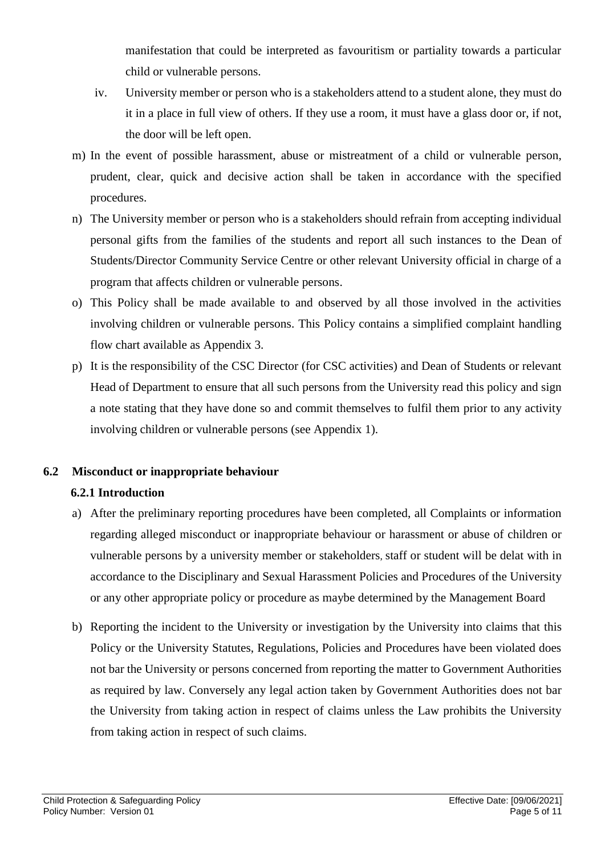manifestation that could be interpreted as favouritism or partiality towards a particular child or vulnerable persons.

- iv. University member or person who is a stakeholders attend to a student alone, they must do it in a place in full view of others. If they use a room, it must have a glass door or, if not, the door will be left open.
- m) In the event of possible harassment, abuse or mistreatment of a child or vulnerable person, prudent, clear, quick and decisive action shall be taken in accordance with the specified procedures.
- n) The University member or person who is a stakeholders should refrain from accepting individual personal gifts from the families of the students and report all such instances to the Dean of Students/Director Community Service Centre or other relevant University official in charge of a program that affects children or vulnerable persons.
- o) This Policy shall be made available to and observed by all those involved in the activities involving children or vulnerable persons. This Policy contains a simplified complaint handling flow chart available as Appendix 3.
- p) It is the responsibility of the CSC Director (for CSC activities) and Dean of Students or relevant Head of Department to ensure that all such persons from the University read this policy and sign a note stating that they have done so and commit themselves to fulfil them prior to any activity involving children or vulnerable persons (see Appendix 1).

# **6.2 Misconduct or inappropriate behaviour**

# **6.2.1 Introduction**

- a) After the preliminary reporting procedures have been completed, all Complaints or information regarding alleged misconduct or inappropriate behaviour or harassment or abuse of children or vulnerable persons by a university member or stakeholders, staff or student will be delat with in accordance to the Disciplinary and Sexual Harassment Policies and Procedures of the University or any other appropriate policy or procedure as maybe determined by the Management Board
- b) Reporting the incident to the University or investigation by the University into claims that this Policy or the University Statutes, Regulations, Policies and Procedures have been violated does not bar the University or persons concerned from reporting the matter to Government Authorities as required by law. Conversely any legal action taken by Government Authorities does not bar the University from taking action in respect of claims unless the Law prohibits the University from taking action in respect of such claims.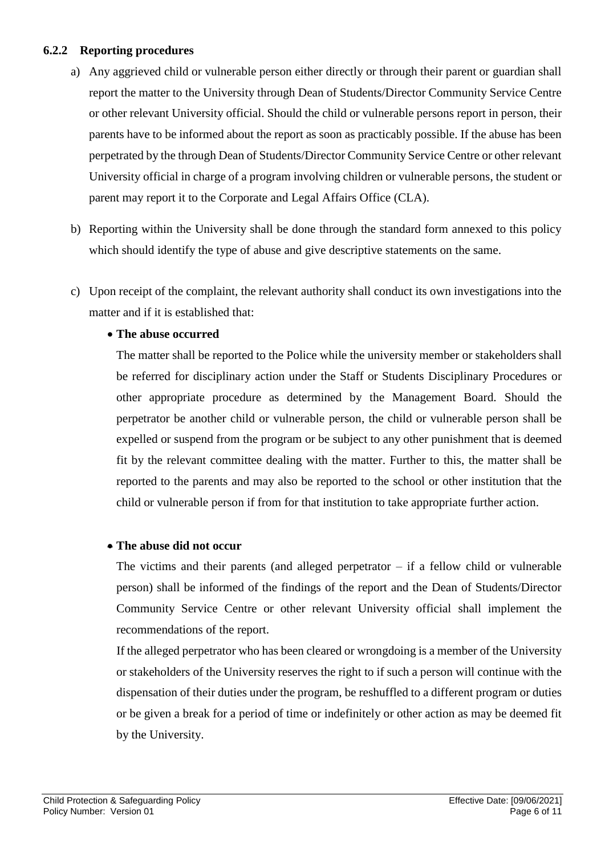#### **6.2.2 Reporting procedures**

- a) Any aggrieved child or vulnerable person either directly or through their parent or guardian shall report the matter to the University through Dean of Students/Director Community Service Centre or other relevant University official. Should the child or vulnerable persons report in person, their parents have to be informed about the report as soon as practicably possible. If the abuse has been perpetrated by the through Dean of Students/Director Community Service Centre or other relevant University official in charge of a program involving children or vulnerable persons, the student or parent may report it to the Corporate and Legal Affairs Office (CLA).
- b) Reporting within the University shall be done through the standard form annexed to this policy which should identify the type of abuse and give descriptive statements on the same.
- c) Upon receipt of the complaint, the relevant authority shall conduct its own investigations into the matter and if it is established that:

# **The abuse occurred**

The matter shall be reported to the Police while the university member or stakeholders shall be referred for disciplinary action under the Staff or Students Disciplinary Procedures or other appropriate procedure as determined by the Management Board. Should the perpetrator be another child or vulnerable person, the child or vulnerable person shall be expelled or suspend from the program or be subject to any other punishment that is deemed fit by the relevant committee dealing with the matter. Further to this, the matter shall be reported to the parents and may also be reported to the school or other institution that the child or vulnerable person if from for that institution to take appropriate further action.

# **The abuse did not occur**

The victims and their parents (and alleged perpetrator – if a fellow child or vulnerable person) shall be informed of the findings of the report and the Dean of Students/Director Community Service Centre or other relevant University official shall implement the recommendations of the report.

 If the alleged perpetrator who has been cleared or wrongdoing is a member of the University or stakeholders of the University reserves the right to if such a person will continue with the dispensation of their duties under the program, be reshuffled to a different program or duties or be given a break for a period of time or indefinitely or other action as may be deemed fit by the University.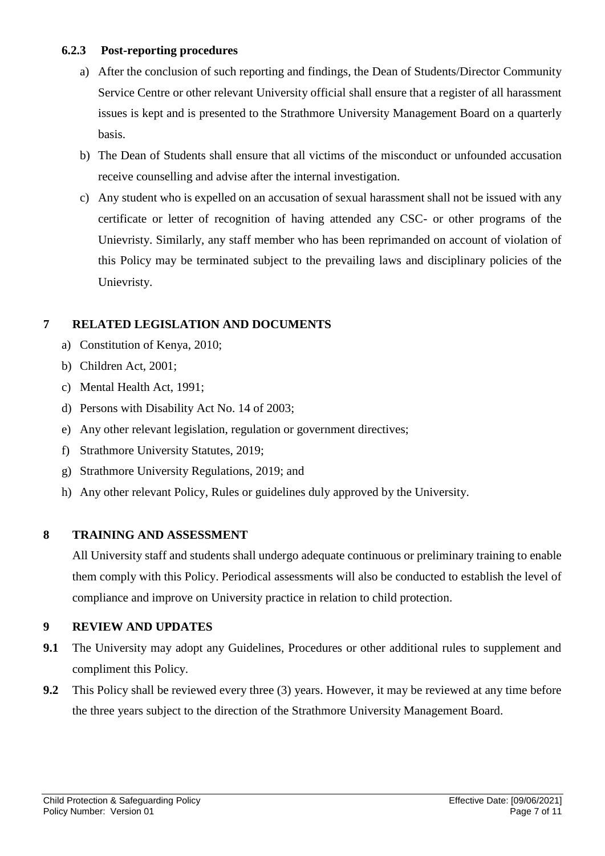#### **6.2.3 Post-reporting procedures**

- a) After the conclusion of such reporting and findings, the Dean of Students/Director Community Service Centre or other relevant University official shall ensure that a register of all harassment issues is kept and is presented to the Strathmore University Management Board on a quarterly basis.
- b) The Dean of Students shall ensure that all victims of the misconduct or unfounded accusation receive counselling and advise after the internal investigation.
- c) Any student who is expelled on an accusation of sexual harassment shall not be issued with any certificate or letter of recognition of having attended any CSC- or other programs of the Unievristy. Similarly, any staff member who has been reprimanded on account of violation of this Policy may be terminated subject to the prevailing laws and disciplinary policies of the Unievristy.

# **7 RELATED LEGISLATION AND DOCUMENTS**

- a) Constitution of Kenya, 2010;
- b) Children Act, 2001;
- c) Mental Health Act, 1991;
- d) Persons with Disability Act No. 14 of 2003;
- e) Any other relevant legislation, regulation or government directives;
- f) Strathmore University Statutes, 2019;
- g) Strathmore University Regulations, 2019; and
- h) Any other relevant Policy, Rules or guidelines duly approved by the University.

# **8 TRAINING AND ASSESSMENT**

All University staff and students shall undergo adequate continuous or preliminary training to enable them comply with this Policy. Periodical assessments will also be conducted to establish the level of compliance and improve on University practice in relation to child protection.

# **9 REVIEW AND UPDATES**

- **9.1** The University may adopt any Guidelines, Procedures or other additional rules to supplement and compliment this Policy.
- **9.2** This Policy shall be reviewed every three (3) years. However, it may be reviewed at any time before the three years subject to the direction of the Strathmore University Management Board.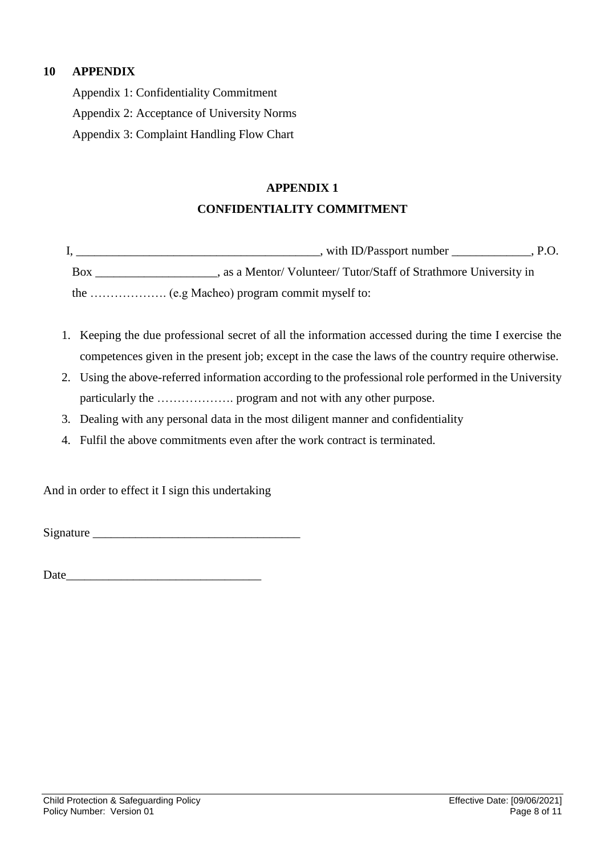# **10 APPENDIX**

Appendix 1: Confidentiality Commitment

Appendix 2: Acceptance of University Norms

Appendix 3: Complaint Handling Flow Chart

# **APPENDIX 1 CONFIDENTIALITY COMMITMENT**

I, \_\_\_\_\_\_\_\_\_\_\_\_\_\_\_\_\_\_\_\_\_\_\_, with ID/Passport number \_\_\_\_\_\_\_\_\_\_\_\_, P.O. Box extending a same of Volunteer/ Tutor/Staff of Strathmore University in the ………………. (e.g Macheo) program commit myself to:

- 1. Keeping the due professional secret of all the information accessed during the time I exercise the competences given in the present job; except in the case the laws of the country require otherwise.
- 2. Using the above-referred information according to the professional role performed in the University particularly the ………………. program and not with any other purpose.
- 3. Dealing with any personal data in the most diligent manner and confidentiality
- 4. Fulfil the above commitments even after the work contract is terminated.

And in order to effect it I sign this undertaking

Signature  $\Box$ 

Date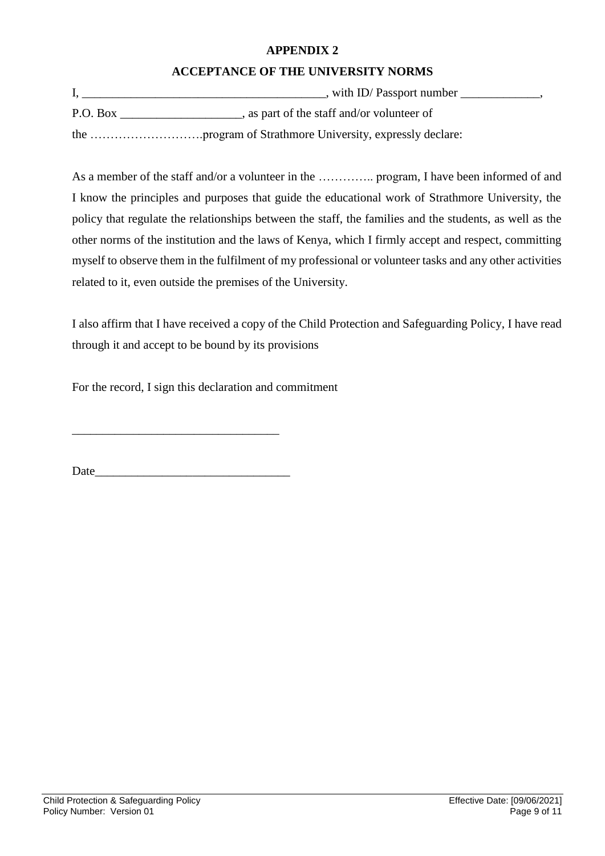#### **APPENDIX 2**

## **ACCEPTANCE OF THE UNIVERSITY NORMS**

|          | , with ID/Passport number                  |
|----------|--------------------------------------------|
| P.O. Box | , as part of the staff and/or volunteer of |
|          |                                            |

As a member of the staff and/or a volunteer in the ………….. program, I have been informed of and I know the principles and purposes that guide the educational work of Strathmore University, the policy that regulate the relationships between the staff, the families and the students, as well as the other norms of the institution and the laws of Kenya, which I firmly accept and respect, committing myself to observe them in the fulfilment of my professional or volunteer tasks and any other activities related to it, even outside the premises of the University.

I also affirm that I have received a copy of the Child Protection and Safeguarding Policy, I have read through it and accept to be bound by its provisions

For the record, I sign this declaration and commitment

 $Date$   $\qquad \qquad$ 

\_\_\_\_\_\_\_\_\_\_\_\_\_\_\_\_\_\_\_\_\_\_\_\_\_\_\_\_\_\_\_\_\_\_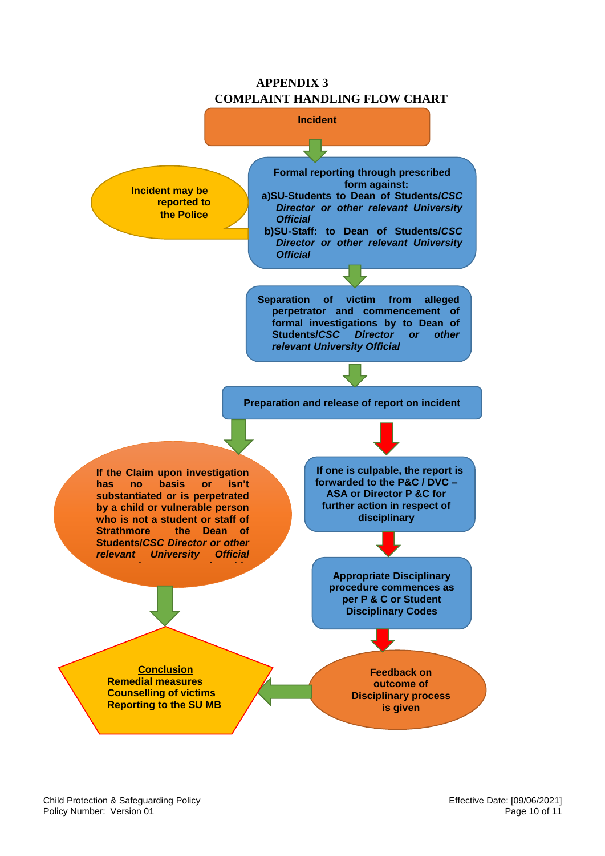